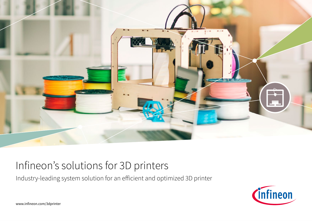

# Infineon's solutions for 3D printers

Industry-leading system solution for an efficient and optimized 3D printer



www.infineon.com/3dprinter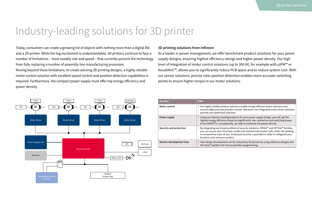# Industry-leading solutions for 3D printer

Today, consumers can create a growing list of objects with nothing more than a digital file and a 3D printer. While the big excitement is understandable, 3D printers continue to face a number of limitations – most notably size and speed – that currently prevent the technology from fully replacing a number of assembly line manufacturing processes.

Moving beyond these limitations, to create winning 3D printing designs, a highly reliable motor control solution with excellent speed control and position detection capabilities is required. Furthermore, the compact power supply must offer top energy efficiency and power density.

## **3D printing solutions from Infineon**

As a leader in power management, we offer benchmark product solutions for your power supply designs, ensuring highest efficiency ratings and higher power density. Our high level of integration of motor control solutions (up to 300 W), for example with µIPM™ or NovalithIC™, allows you to significantly reduce PCB space and to reduce system cost. With our sensor solutions, precise rotor position detection enables more accurate switching points to ensure higher torque in our motor solutions.



| <b>Benefits</b>          | Offer                                                                                                                                                                                                                                                                                                     |
|--------------------------|-----------------------------------------------------------------------------------------------------------------------------------------------------------------------------------------------------------------------------------------------------------------------------------------------------------|
| Motor control            | Our highly reliable product solutions enable energy efficient motor solutions and<br>ensures high precision position control. Moreover, our integrated motor driver solutions<br>provide cost-optimized solutions                                                                                         |
| Power supply             | Using our industry-leading products for your power supply design, you will get the<br>highest energy efficiency based on significantly low conduction and switching losses<br>of our MOSFETs. Consequently, we help to maximize the power density                                                         |
| Security and protection  | By integrating our broad portfolio of security solutions, ORIGA™ and OPTIGA™ families,<br>you can secure your 3D printer model and authenticate printer coils, while not needing<br>to compromise ease-of-use. Enhanced security is provided in order to safeguard your<br>business case and your product |
| Shorter development time | > Your design development can be reduced by 30 percent by using reference designs and<br>the Dave <sup>™</sup> platform for microcontroller programming                                                                                                                                                   |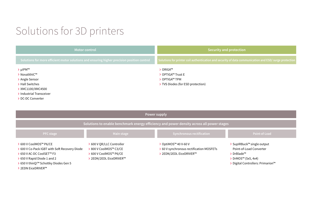# Solutions for 3D printers

| <b>Motor control</b>                                                                        | Security and protection                                                                                |  |  |
|---------------------------------------------------------------------------------------------|--------------------------------------------------------------------------------------------------------|--|--|
| Solutions for more efficient motor solutions and ensuring higher precision position control | Solutions for printer coil authentication and security of data communication and ESD/ surge protection |  |  |
| $\sum$ µIPM <sup>™</sup>                                                                    | ORIGA™                                                                                                 |  |  |
| > NovalithIC™                                                                               | OPTIGA™ Trust E                                                                                        |  |  |
| > Angle Sensor                                                                              | OPTIGA™ TPM                                                                                            |  |  |
| > Hall Switches                                                                             | TVS Diodes (for ESD protection)                                                                        |  |  |
| > XMC1100/XMC4500                                                                           |                                                                                                        |  |  |
| > Industrial Transceiver                                                                    |                                                                                                        |  |  |
| > DC-DC Converter                                                                           |                                                                                                        |  |  |

| Power supply                                                                                                                                                                 |                                                                                                    |                                                                                       |                                                                                                                                                   |  |  |  |
|------------------------------------------------------------------------------------------------------------------------------------------------------------------------------|----------------------------------------------------------------------------------------------------|---------------------------------------------------------------------------------------|---------------------------------------------------------------------------------------------------------------------------------------------------|--|--|--|
| Solutions to enable benchmark energy efficiency and power density across all power stages                                                                                    |                                                                                                    |                                                                                       |                                                                                                                                                   |  |  |  |
| <b>PFC</b> stage                                                                                                                                                             | Main stage                                                                                         | <b>Synchronous rectification</b>                                                      | Point-of-Load                                                                                                                                     |  |  |  |
| > 600 V CoolMOS™ P6/CE<br>> 600 V Co-Pack IGBT with Soft Recovery Diode<br>> 650 V AC-DC CoolSET™ F3<br>> 650 V Rapid Diode 1 and 2<br>> 650 V thinQ!™ Schottky Diodes Gen 5 | 600 V QR/LLC Controller<br>> 800 V CoolMOS™ C3/CE<br>600 V CoolMOS™ P6/CE<br>2EDN/2EDL EiceDRIVER™ | OptiMOS™ 40 V-60 V<br>60 V synchronous rectification MOSFETs<br>2EDN/2EDL EiceDRIVER™ | > SupIRBuck™ single output<br>Point-of-Load Converter<br>$\sum$ DrBlade <sup>TM</sup><br>> DrMOS™ (5x5, 4x4)<br>> Digital Controllers: Primarion™ |  |  |  |

› 2EDN EiceDRIVER™